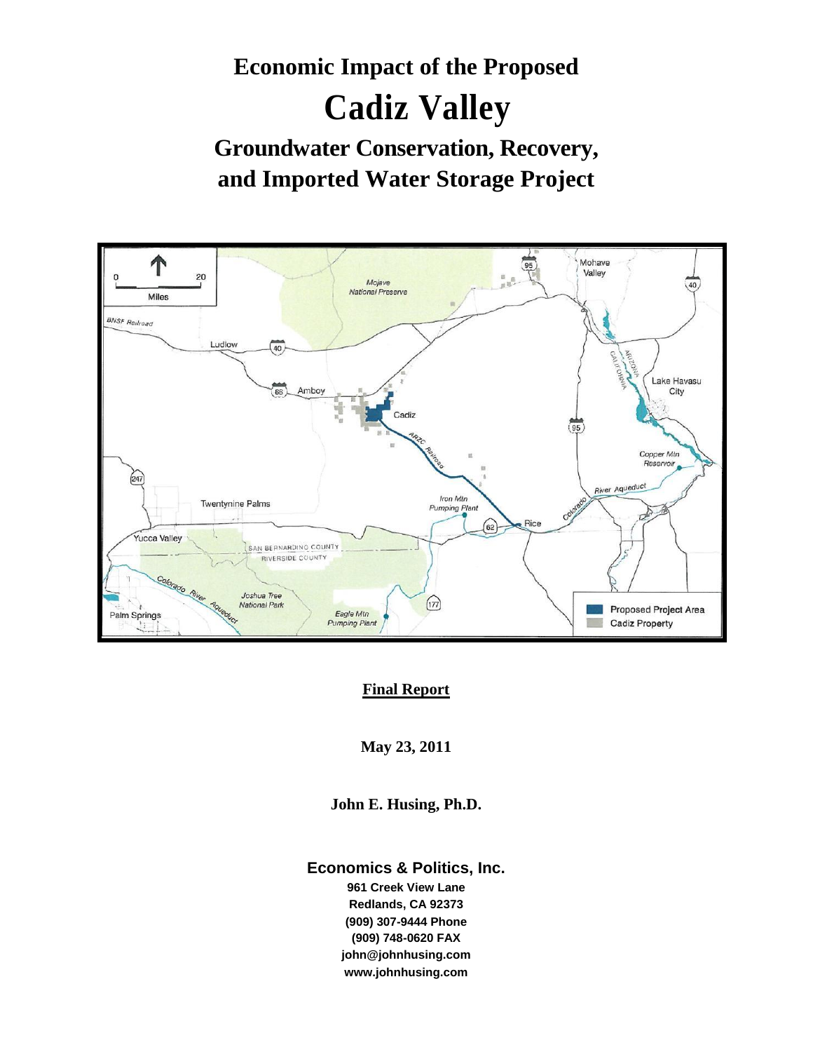# **Economic Impact of the Proposed Cadiz Valley Groundwater Conservation, Recovery, and Imported Water Storage Project**



#### **Final Report**

**May 23, 2011**

**John E. Husing, Ph.D.**

#### **Economics & Politics, Inc.**

**961 Creek View Lane Redlands, CA 92373 (909) 307-9444 Phone (909) 748-0620 FAX john@johnhusing.com www.johnhusing.com**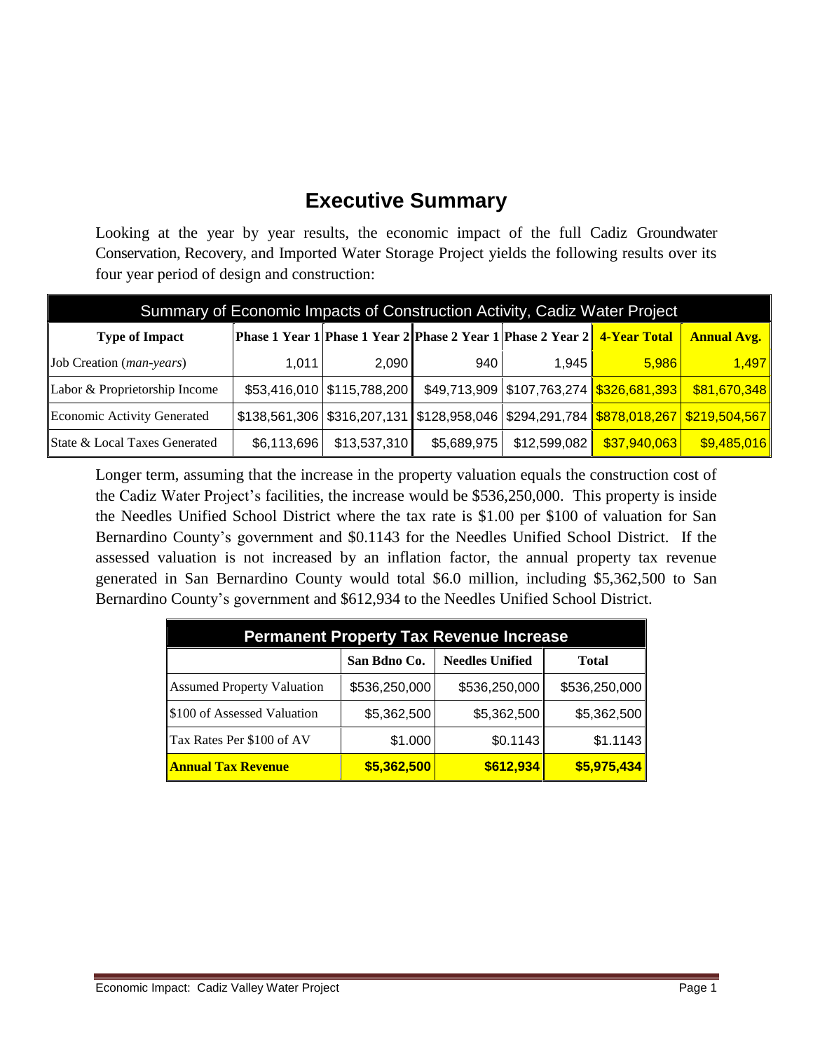## **Executive Summary**

Looking at the year by year results, the economic impact of the full Cadiz Groundwater Conservation, Recovery, and Imported Water Storage Project yields the following results over its four year period of design and construction:

| Summary of Economic Impacts of Construction Activity, Cadiz Water Project |             |                              |                                                                                                               |                      |                                                             |                    |
|---------------------------------------------------------------------------|-------------|------------------------------|---------------------------------------------------------------------------------------------------------------|----------------------|-------------------------------------------------------------|--------------------|
| <b>Type of Impact</b>                                                     |             |                              | <b>Phase 1 Year 1 Phase 1 Year 2 Phase 2 Year 1 Phase 2 Year 2 4-Year Total</b>                               |                      |                                                             | <b>Annual Avg.</b> |
| Job Creation (man-years)                                                  | 1.011       | 2.090                        | 940                                                                                                           | 1.945 $\blacksquare$ | 5,986                                                       | 1,497              |
| Labor & Proprietorship Income                                             |             | \$53,416,010   \$115,788,200 |                                                                                                               |                      | \$49,713,909   \$107,763,274   <mark>\$326,681,393  </mark> | \$81,670,348       |
| Economic Activity Generated                                               |             |                              | \$138,561,306   \$316,207,131   \$128,958,046   \$294,291,784 <mark>   \$878,018,267   \$219,504,567  </mark> |                      |                                                             |                    |
| State & Local Taxes Generated                                             | \$6,113,696 | \$13,537,310                 | \$5,689,975                                                                                                   |                      | \$12,599,082 <mark>  \$37,940,063  </mark>                  | \$9,485,016        |

Longer term, assuming that the increase in the property valuation equals the construction cost of the Cadiz Water Project's facilities, the increase would be \$536,250,000. This property is inside the Needles Unified School District where the tax rate is \$1.00 per \$100 of valuation for San Bernardino County's government and \$0.1143 for the Needles Unified School District. If the assessed valuation is not increased by an inflation factor, the annual property tax revenue generated in San Bernardino County would total \$6.0 million, including \$5,362,500 to San Bernardino County's government and \$612,934 to the Needles Unified School District.

| <b>Permanent Property Tax Revenue Increase</b> |               |                        |               |  |
|------------------------------------------------|---------------|------------------------|---------------|--|
|                                                | San Bdno Co.  | <b>Needles Unified</b> | <b>Total</b>  |  |
| <b>Assumed Property Valuation</b>              | \$536,250,000 | \$536,250,000          | \$536,250,000 |  |
| \$100 of Assessed Valuation                    | \$5,362,500   | \$5,362,500            | \$5,362,500   |  |
| Tax Rates Per \$100 of AV                      | \$1.000       | \$0.1143]              | \$1.1143      |  |
| <b>Annual Tax Revenue</b>                      | \$5,362,500   | \$612,934              | \$5,975,434   |  |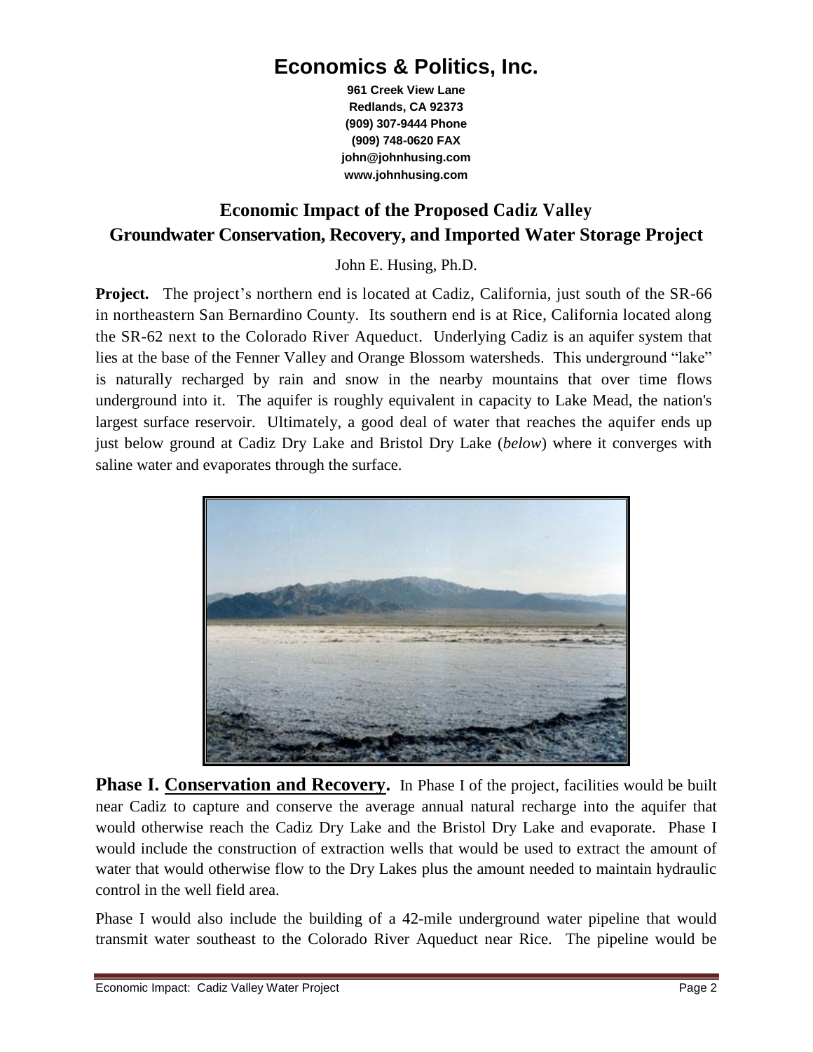### **Economics & Politics, Inc.**

**961 Creek View Lane Redlands, CA 92373 (909) 307-9444 Phone (909) 748-0620 FAX john@johnhusing.com www.johnhusing.com**

### **Economic Impact of the Proposed Cadiz Valley Groundwater Conservation, Recovery, and Imported Water Storage Project**

John E. Husing, Ph.D.

**Project.** The project's northern end is located at Cadiz, California, just south of the SR-66 in northeastern San Bernardino County. Its southern end is at Rice, California located along the SR-62 next to the Colorado River Aqueduct. Underlying Cadiz is an aquifer system that lies at the base of the Fenner Valley and Orange Blossom watersheds. This underground "lake" is naturally recharged by rain and snow in the nearby mountains that over time flows underground into it. The aquifer is roughly equivalent in capacity to Lake Mead, the nation's largest surface reservoir. Ultimately, a good deal of water that reaches the aquifer ends up just below ground at Cadiz Dry Lake and Bristol Dry Lake (*below*) where it converges with saline water and evaporates through the surface.



**Phase I. Conservation and Recovery.** In Phase I of the project, facilities would be built near Cadiz to capture and conserve the average annual natural recharge into the aquifer that would otherwise reach the Cadiz Dry Lake and the Bristol Dry Lake and evaporate. Phase I would include the construction of extraction wells that would be used to extract the amount of water that would otherwise flow to the Dry Lakes plus the amount needed to maintain hydraulic control in the well field area.

Phase I would also include the building of a 42-mile underground water pipeline that would transmit water southeast to the Colorado River Aqueduct near Rice. The pipeline would be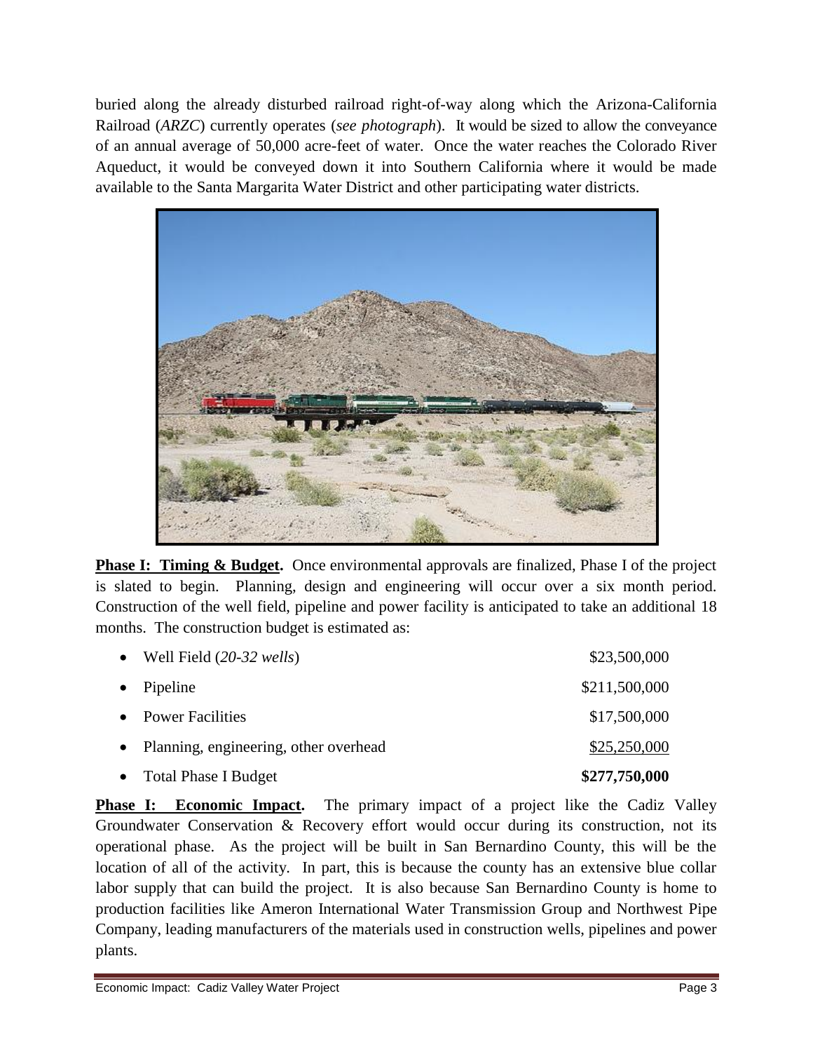buried along the already disturbed railroad right-of-way along which the Arizona-California Railroad (*ARZC*) currently operates (*see photograph*). It would be sized to allow the conveyance of an annual average of 50,000 acre-feet of water. Once the water reaches the Colorado River Aqueduct, it would be conveyed down it into Southern California where it would be made available to the Santa Margarita Water District and other participating water districts.



**Phase I: Timing & Budget.** Once environmental approvals are finalized, Phase I of the project is slated to begin. Planning, design and engineering will occur over a six month period. Construction of the well field, pipeline and power facility is anticipated to take an additional 18 months. The construction budget is estimated as:

| • Total Phase I Budget                  | \$277,750,000 |
|-----------------------------------------|---------------|
| • Planning, engineering, other overhead | \$25,250,000  |
| • Power Facilities                      | \$17,500,000  |
| • Pipeline                              | \$211,500,000 |
| • Well Field $(20-32 \text{ wells})$    | \$23,500,000  |

**Phase I: Economic Impact.** The primary impact of a project like the Cadiz Valley Groundwater Conservation & Recovery effort would occur during its construction, not its operational phase. As the project will be built in San Bernardino County, this will be the location of all of the activity. In part, this is because the county has an extensive blue collar labor supply that can build the project. It is also because San Bernardino County is home to production facilities like Ameron International Water Transmission Group and Northwest Pipe Company, leading manufacturers of the materials used in construction wells, pipelines and power plants.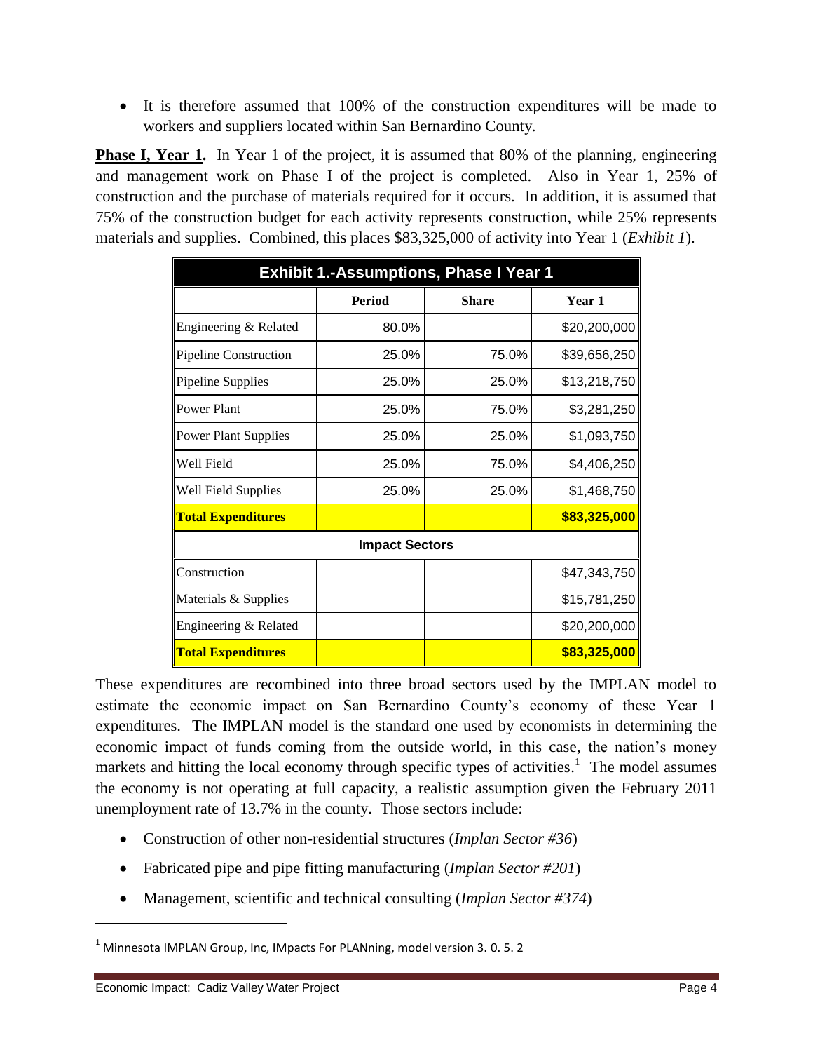It is therefore assumed that 100% of the construction expenditures will be made to workers and suppliers located within San Bernardino County.

**Phase I, Year 1.** In Year 1 of the project, it is assumed that 80% of the planning, engineering and management work on Phase I of the project is completed. Also in Year 1, 25% of construction and the purchase of materials required for it occurs. In addition, it is assumed that 75% of the construction budget for each activity represents construction, while 25% represents materials and supplies. Combined, this places \$83,325,000 of activity into Year 1 (*Exhibit 1*).

| <b>Exhibit 1.-Assumptions, Phase I Year 1</b> |                       |              |              |
|-----------------------------------------------|-----------------------|--------------|--------------|
|                                               | <b>Period</b>         | <b>Share</b> | Year 1       |
| Engineering & Related                         | 80.0%                 |              | \$20,200,000 |
| <b>Pipeline Construction</b>                  | 25.0%                 | 75.0%        | \$39,656,250 |
| Pipeline Supplies                             | 25.0%                 | 25.0%        | \$13,218,750 |
| Power Plant                                   | 25.0%                 | 75.0%        | \$3,281,250  |
| <b>Power Plant Supplies</b>                   | 25.0%                 | 25.0%        | \$1,093,750  |
| Well Field                                    | 25.0%                 | 75.0%        | \$4,406,250  |
| Well Field Supplies                           | 25.0%                 | 25.0%        | \$1,468,750  |
| <b>Total Expenditures</b>                     |                       |              | \$83,325,000 |
|                                               | <b>Impact Sectors</b> |              |              |
| Construction                                  |                       |              | \$47,343,750 |
| Materials & Supplies                          |                       |              | \$15,781,250 |
| Engineering & Related                         |                       |              | \$20,200,000 |
| <b>Total Expenditures</b>                     |                       |              | \$83,325,000 |

These expenditures are recombined into three broad sectors used by the IMPLAN model to estimate the economic impact on San Bernardino County's economy of these Year 1 expenditures. The IMPLAN model is the standard one used by economists in determining the economic impact of funds coming from the outside world, in this case, the nation's money markets and hitting the local economy through specific types of activities.<sup>1</sup> The model assumes the economy is not operating at full capacity, a realistic assumption given the February 2011 unemployment rate of 13.7% in the county. Those sectors include:

- Construction of other non-residential structures (*Implan Sector #36*)
- Fabricated pipe and pipe fitting manufacturing (*Implan Sector #201*)
- Management, scientific and technical consulting (*Implan Sector #374*)

 $\overline{a}$ 

 $1$  Minnesota IMPLAN Group, Inc, IMpacts For PLANning, model version 3.0.5.2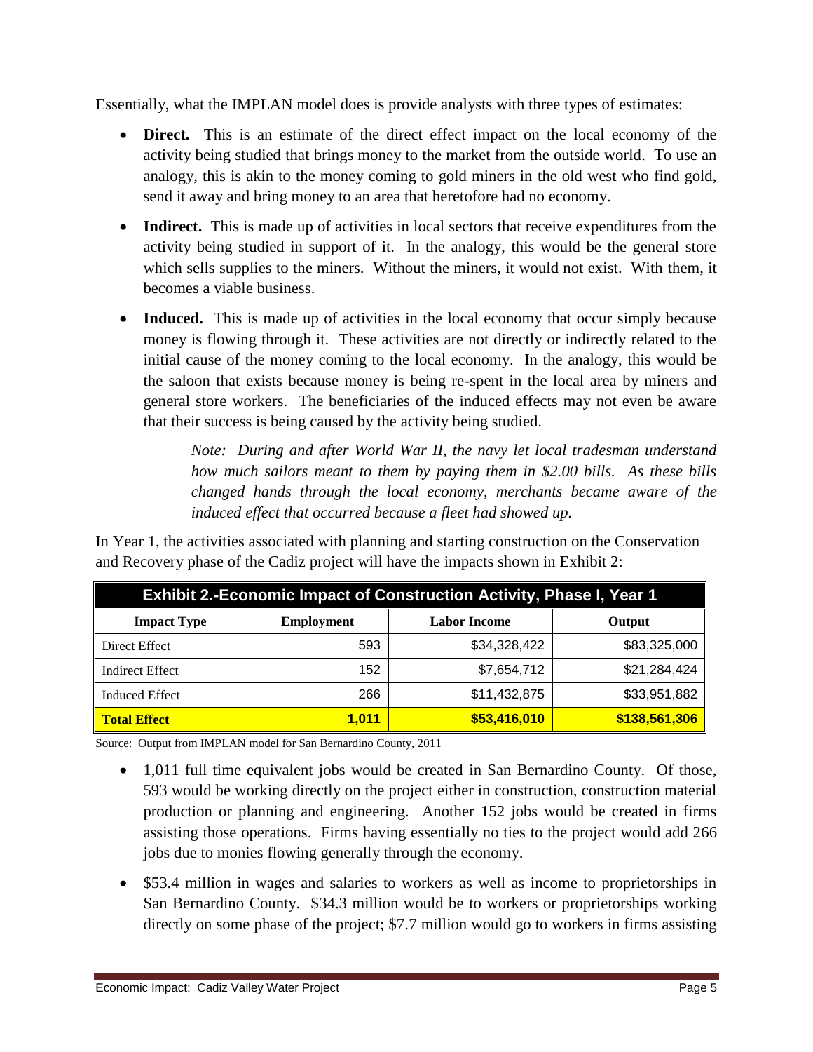Essentially, what the IMPLAN model does is provide analysts with three types of estimates:

- **Direct.** This is an estimate of the direct effect impact on the local economy of the activity being studied that brings money to the market from the outside world. To use an analogy, this is akin to the money coming to gold miners in the old west who find gold, send it away and bring money to an area that heretofore had no economy.
- **Indirect.** This is made up of activities in local sectors that receive expenditures from the activity being studied in support of it. In the analogy, this would be the general store which sells supplies to the miners. Without the miners, it would not exist. With them, it becomes a viable business.
- **Induced.** This is made up of activities in the local economy that occur simply because money is flowing through it. These activities are not directly or indirectly related to the initial cause of the money coming to the local economy. In the analogy, this would be the saloon that exists because money is being re-spent in the local area by miners and general store workers. The beneficiaries of the induced effects may not even be aware that their success is being caused by the activity being studied.

*Note: During and after World War II, the navy let local tradesman understand how much sailors meant to them by paying them in \$2.00 bills. As these bills changed hands through the local economy, merchants became aware of the induced effect that occurred because a fleet had showed up.*

In Year 1, the activities associated with planning and starting construction on the Conservation and Recovery phase of the Cadiz project will have the impacts shown in Exhibit 2:

| <b>Exhibit 2.-Economic Impact of Construction Activity, Phase I, Year 1</b> |                   |                     |               |  |
|-----------------------------------------------------------------------------|-------------------|---------------------|---------------|--|
| <b>Impact Type</b>                                                          | <b>Employment</b> | <b>Labor Income</b> | Output        |  |
| Direct Effect                                                               | 593               | \$34,328,422        | \$83,325,000  |  |
| <b>Indirect Effect</b>                                                      | 152               | \$7,654,712         | \$21,284,424  |  |
| <b>Induced Effect</b>                                                       | 266               | \$11,432,875        | \$33,951,882  |  |
| <b>Total Effect</b>                                                         | <u>1,011</u>      | \$53,416,010        | \$138,561,306 |  |

Source: Output from IMPLAN model for San Bernardino County, 2011

- 1,011 full time equivalent jobs would be created in San Bernardino County. Of those, 593 would be working directly on the project either in construction, construction material production or planning and engineering. Another 152 jobs would be created in firms assisting those operations. Firms having essentially no ties to the project would add 266 jobs due to monies flowing generally through the economy.
- \$53.4 million in wages and salaries to workers as well as income to proprietorships in San Bernardino County. \$34.3 million would be to workers or proprietorships working directly on some phase of the project; \$7.7 million would go to workers in firms assisting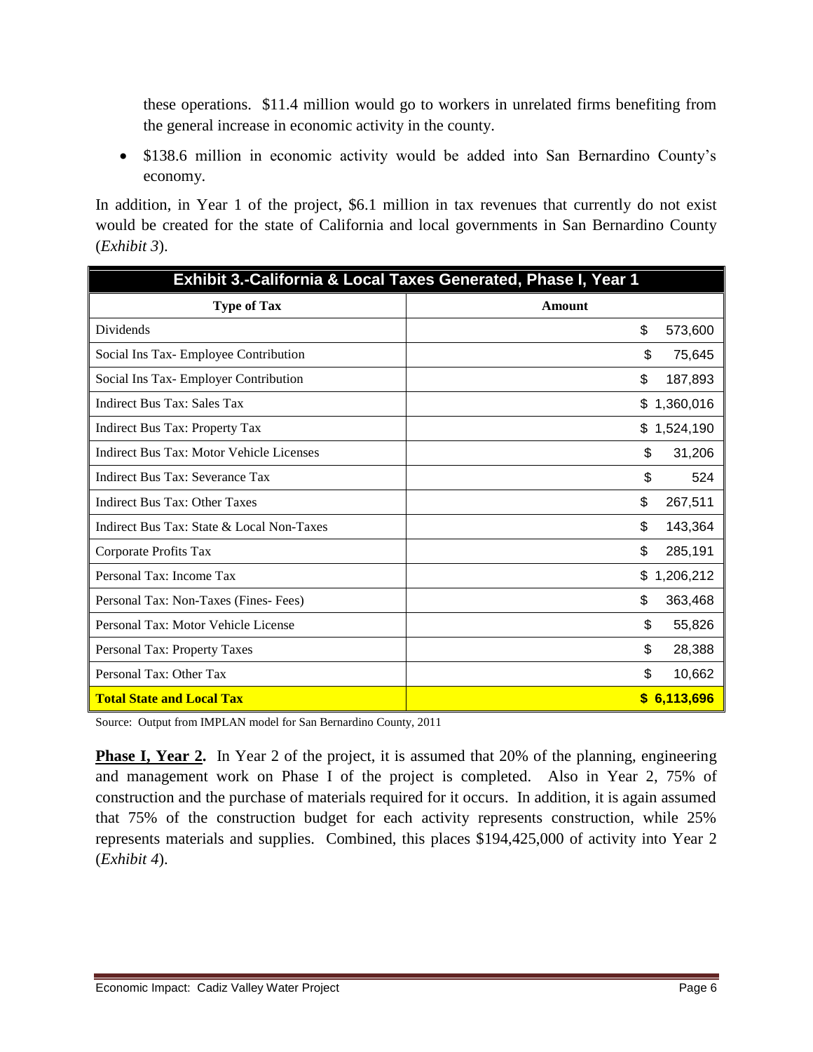these operations. \$11.4 million would go to workers in unrelated firms benefiting from the general increase in economic activity in the county.

• \$138.6 million in economic activity would be added into San Bernardino County's economy.

In addition, in Year 1 of the project, \$6.1 million in tax revenues that currently do not exist would be created for the state of California and local governments in San Bernardino County (*Exhibit 3*).

| Exhibit 3.-California & Local Taxes Generated, Phase I, Year 1 |                 |  |
|----------------------------------------------------------------|-----------------|--|
| <b>Type of Tax</b>                                             | Amount          |  |
| Dividends                                                      | \$<br>573,600   |  |
| Social Ins Tax-Employee Contribution                           | \$<br>75,645    |  |
| Social Ins Tax- Employer Contribution                          | \$<br>187,893   |  |
| <b>Indirect Bus Tax: Sales Tax</b>                             | 1,360,016<br>\$ |  |
| Indirect Bus Tax: Property Tax                                 | \$<br>1,524,190 |  |
| Indirect Bus Tax: Motor Vehicle Licenses                       | \$<br>31,206    |  |
| Indirect Bus Tax: Severance Tax                                | \$<br>524       |  |
| Indirect Bus Tax: Other Taxes                                  | \$<br>267,511   |  |
| Indirect Bus Tax: State & Local Non-Taxes                      | \$<br>143,364   |  |
| Corporate Profits Tax                                          | \$<br>285,191   |  |
| Personal Tax: Income Tax                                       | \$<br>1,206,212 |  |
| Personal Tax: Non-Taxes (Fines-Fees)                           | \$<br>363,468   |  |
| Personal Tax: Motor Vehicle License                            | \$<br>55,826    |  |
| Personal Tax: Property Taxes                                   | \$<br>28,388    |  |
| Personal Tax: Other Tax                                        | \$<br>10,662    |  |
| <b>Total State and Local Tax</b>                               | \$6,113,696     |  |

Source: Output from IMPLAN model for San Bernardino County, 2011

**Phase I, Year 2.** In Year 2 of the project, it is assumed that 20% of the planning, engineering and management work on Phase I of the project is completed. Also in Year 2, 75% of construction and the purchase of materials required for it occurs. In addition, it is again assumed that 75% of the construction budget for each activity represents construction, while 25% represents materials and supplies. Combined, this places \$194,425,000 of activity into Year 2 (*Exhibit 4*).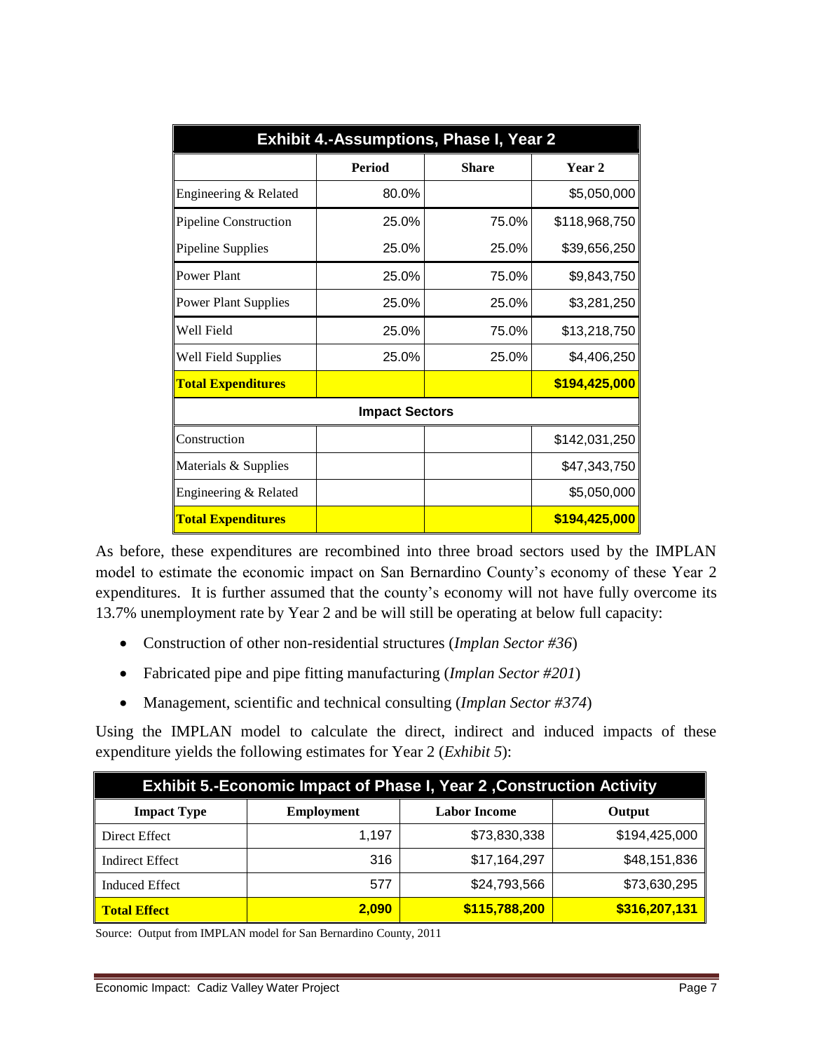| <b>Exhibit 4.-Assumptions, Phase I, Year 2</b> |                       |              |               |
|------------------------------------------------|-----------------------|--------------|---------------|
|                                                | <b>Period</b>         | <b>Share</b> | Year 2        |
| Engineering & Related                          | 80.0%                 |              | \$5,050,000   |
| Pipeline Construction                          | 25.0%                 | 75.0%        | \$118,968,750 |
| Pipeline Supplies                              | 25.0%                 | 25.0%        | \$39,656,250  |
| <b>Power Plant</b>                             | 25.0%                 | 75.0%        | \$9,843,750   |
| <b>Power Plant Supplies</b>                    | 25.0%                 | 25.0%        | \$3,281,250   |
| Well Field                                     | 25.0%                 | 75.0%        | \$13,218,750  |
| Well Field Supplies                            | 25.0%                 | 25.0%        | \$4,406,250   |
| <b>Total Expenditures</b>                      |                       |              | \$194,425,000 |
|                                                | <b>Impact Sectors</b> |              |               |
| Construction                                   |                       |              | \$142,031,250 |
| Materials & Supplies                           |                       |              | \$47,343,750  |
| Engineering & Related                          |                       |              | \$5,050,000   |
| <b>Total Expenditures</b>                      |                       |              | \$194,425,000 |

As before, these expenditures are recombined into three broad sectors used by the IMPLAN model to estimate the economic impact on San Bernardino County's economy of these Year 2 expenditures. It is further assumed that the county's economy will not have fully overcome its 13.7% unemployment rate by Year 2 and be will still be operating at below full capacity:

- Construction of other non-residential structures (*Implan Sector #36*)
- Fabricated pipe and pipe fitting manufacturing (*Implan Sector #201*)
- Management, scientific and technical consulting (*Implan Sector #374*)

Using the IMPLAN model to calculate the direct, indirect and induced impacts of these expenditure yields the following estimates for Year 2 (*Exhibit 5*):

| <b>Exhibit 5.-Economic Impact of Phase I, Year 2, Construction Activity</b> |                   |                     |               |  |
|-----------------------------------------------------------------------------|-------------------|---------------------|---------------|--|
| <b>Impact Type</b>                                                          | <b>Employment</b> | <b>Labor Income</b> | Output        |  |
| Direct Effect                                                               | 1.197             | \$73,830,338        | \$194,425,000 |  |
| <b>Indirect Effect</b>                                                      | 316               | \$17,164,297        | \$48,151,836  |  |
| <b>Induced Effect</b>                                                       | 577               | \$24,793,566        | \$73,630,295  |  |
| <b>Total Effect</b>                                                         | 2,090             | \$115,788,200       | \$316,207,131 |  |

Source: Output from IMPLAN model for San Bernardino County, 2011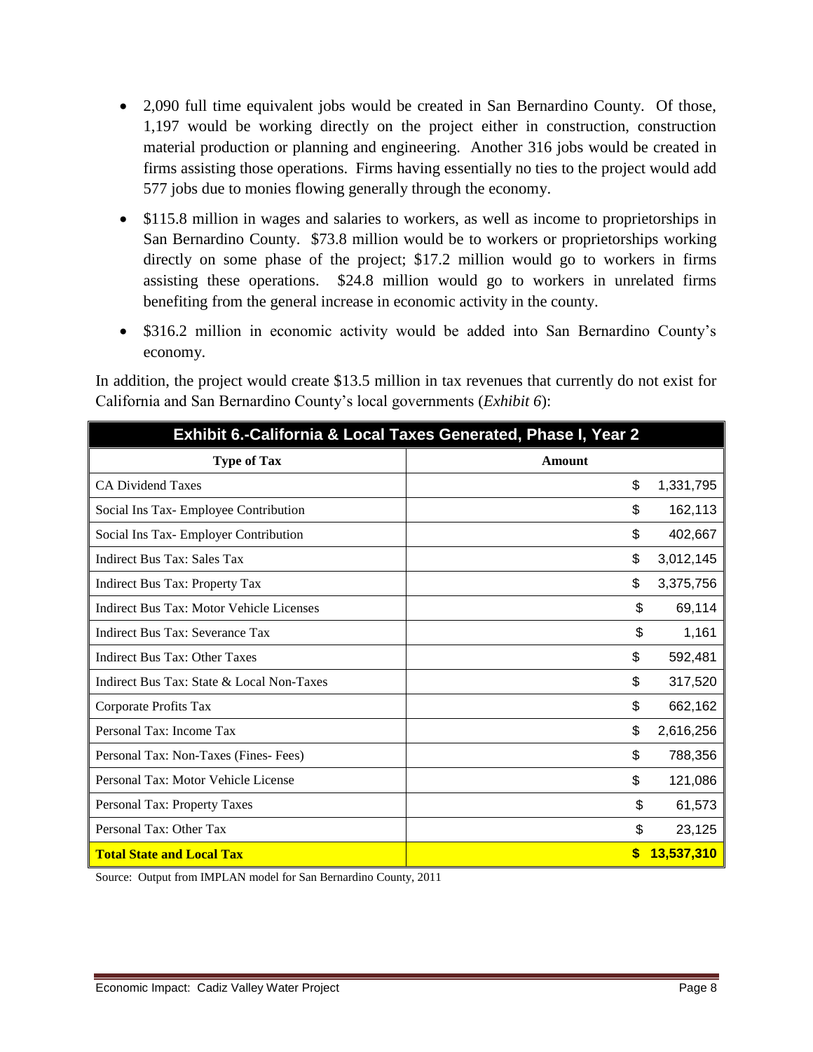- 2,090 full time equivalent jobs would be created in San Bernardino County. Of those, 1,197 would be working directly on the project either in construction, construction material production or planning and engineering. Another 316 jobs would be created in firms assisting those operations. Firms having essentially no ties to the project would add 577 jobs due to monies flowing generally through the economy.
- \$115.8 million in wages and salaries to workers, as well as income to proprietorships in San Bernardino County. \$73.8 million would be to workers or proprietorships working directly on some phase of the project; \$17.2 million would go to workers in firms assisting these operations. \$24.8 million would go to workers in unrelated firms benefiting from the general increase in economic activity in the county.
- \$316.2 million in economic activity would be added into San Bernardino County's economy.

| Exhibit 6.-California & Local Taxes Generated, Phase I, Year 2 |        |            |
|----------------------------------------------------------------|--------|------------|
| <b>Type of Tax</b>                                             | Amount |            |
| <b>CA Dividend Taxes</b>                                       | \$     | 1,331,795  |
| Social Ins Tax- Employee Contribution                          | \$     | 162,113    |
| Social Ins Tax- Employer Contribution                          | \$     | 402,667    |
| <b>Indirect Bus Tax: Sales Tax</b>                             | \$     | 3,012,145  |
| Indirect Bus Tax: Property Tax                                 | \$     | 3,375,756  |
| Indirect Bus Tax: Motor Vehicle Licenses                       | \$     | 69,114     |
| Indirect Bus Tax: Severance Tax                                | \$     | 1,161      |
| Indirect Bus Tax: Other Taxes                                  | \$     | 592,481    |
| Indirect Bus Tax: State & Local Non-Taxes                      | \$     | 317,520    |
| Corporate Profits Tax                                          | \$     | 662,162    |
| Personal Tax: Income Tax                                       | \$     | 2,616,256  |
| Personal Tax: Non-Taxes (Fines-Fees)                           | \$     | 788,356    |
| Personal Tax: Motor Vehicle License                            | \$     | 121,086    |
| Personal Tax: Property Taxes                                   | \$     | 61,573     |
| Personal Tax: Other Tax                                        | \$     | 23,125     |
| <b>Total State and Local Tax</b>                               | S      | 13,537,310 |

In addition, the project would create \$13.5 million in tax revenues that currently do not exist for California and San Bernardino County's local governments (*Exhibit 6*):

Source: Output from IMPLAN model for San Bernardino County, 2011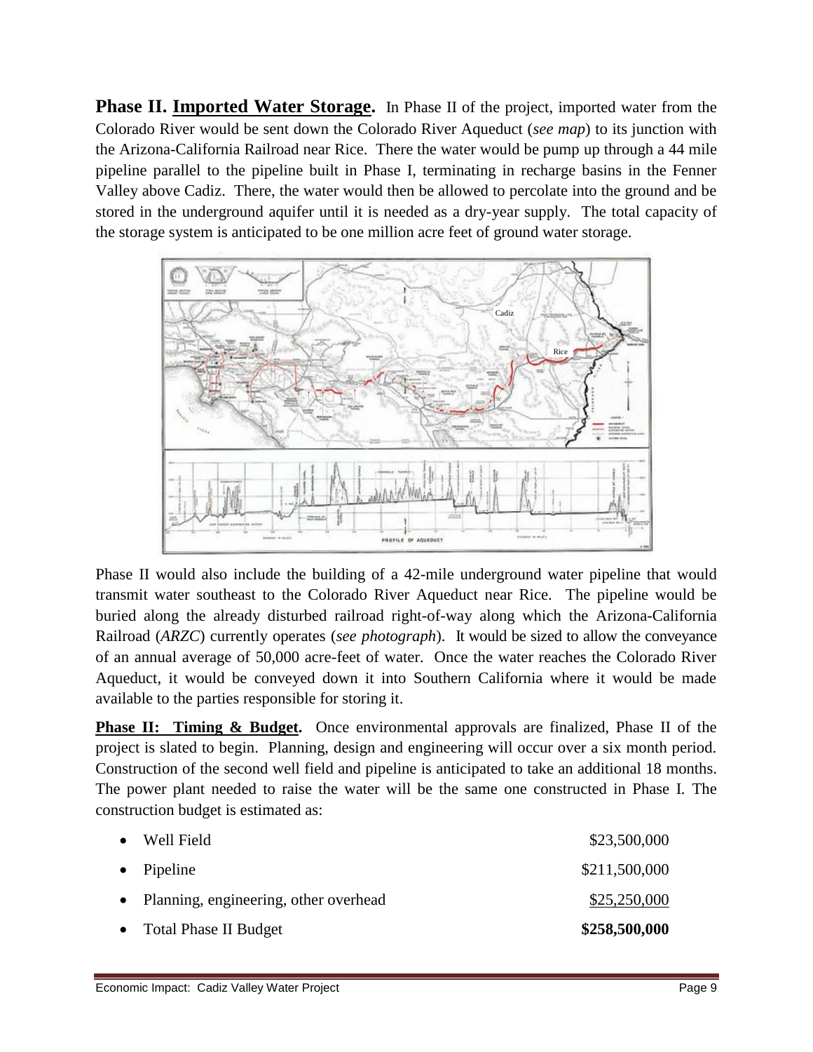**Phase II. Imported Water Storage.** In Phase II of the project, imported water from the Colorado River would be sent down the Colorado River Aqueduct (*see map*) to its junction with the Arizona-California Railroad near Rice. There the water would be pump up through a 44 mile pipeline parallel to the pipeline built in Phase I, terminating in recharge basins in the Fenner Valley above Cadiz. There, the water would then be allowed to percolate into the ground and be stored in the underground aquifer until it is needed as a dry-year supply. The total capacity of the storage system is anticipated to be one million acre feet of ground water storage.



Phase II would also include the building of a 42-mile underground water pipeline that would transmit water southeast to the Colorado River Aqueduct near Rice. The pipeline would be buried along the already disturbed railroad right-of-way along which the Arizona-California Railroad (*ARZC*) currently operates (*see photograph*). It would be sized to allow the conveyance of an annual average of 50,000 acre-feet of water. Once the water reaches the Colorado River Aqueduct, it would be conveyed down it into Southern California where it would be made available to the parties responsible for storing it.

**Phase II: Timing & Budget.** Once environmental approvals are finalized, Phase II of the project is slated to begin. Planning, design and engineering will occur over a six month period. Construction of the second well field and pipeline is anticipated to take an additional 18 months. The power plant needed to raise the water will be the same one constructed in Phase I. The construction budget is estimated as:

| • Well Field                            | \$23,500,000  |
|-----------------------------------------|---------------|
| $\bullet$ Pipeline                      | \$211,500,000 |
| • Planning, engineering, other overhead | \$25,250,000  |
| • Total Phase II Budget                 | \$258,500,000 |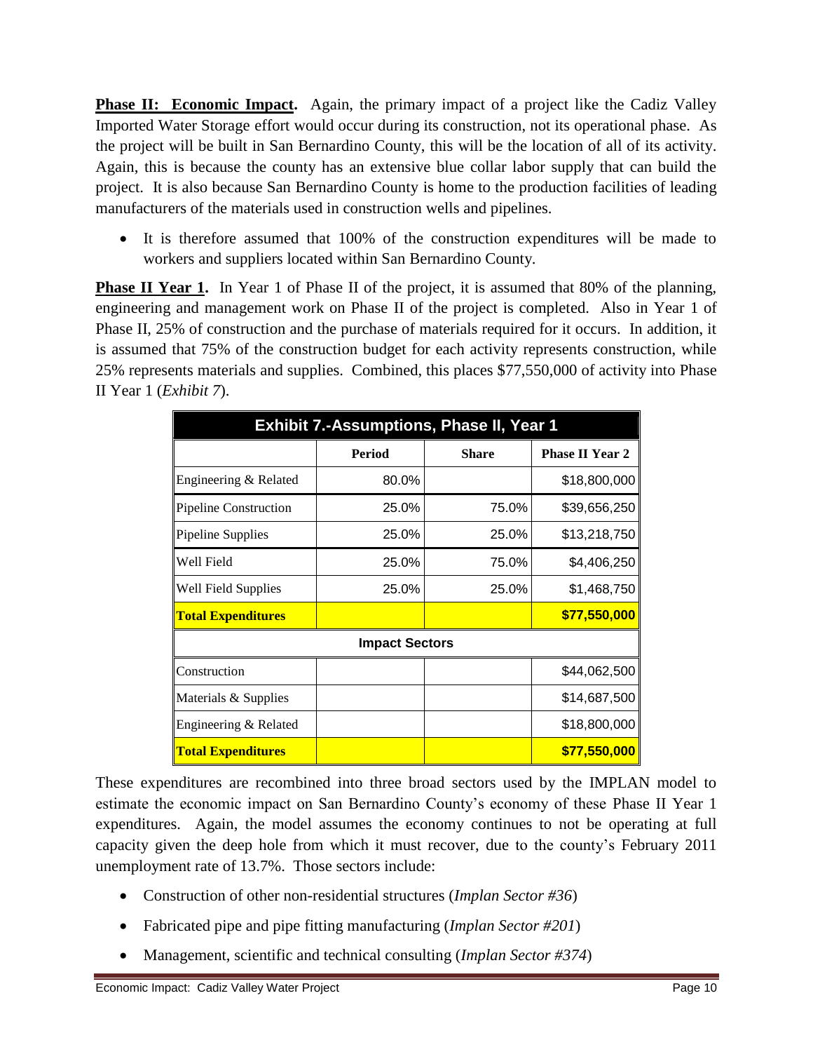**Phase II: Economic Impact.** Again, the primary impact of a project like the Cadiz Valley Imported Water Storage effort would occur during its construction, not its operational phase. As the project will be built in San Bernardino County, this will be the location of all of its activity. Again, this is because the county has an extensive blue collar labor supply that can build the project. It is also because San Bernardino County is home to the production facilities of leading manufacturers of the materials used in construction wells and pipelines.

 It is therefore assumed that 100% of the construction expenditures will be made to workers and suppliers located within San Bernardino County.

**Phase II Year 1.** In Year 1 of Phase II of the project, it is assumed that 80% of the planning, engineering and management work on Phase II of the project is completed. Also in Year 1 of Phase II, 25% of construction and the purchase of materials required for it occurs. In addition, it is assumed that 75% of the construction budget for each activity represents construction, while 25% represents materials and supplies. Combined, this places \$77,550,000 of activity into Phase II Year 1 (*Exhibit 7*).

| <b>Exhibit 7.-Assumptions, Phase II, Year 1</b> |                       |              |                        |  |
|-------------------------------------------------|-----------------------|--------------|------------------------|--|
|                                                 | Period                | <b>Share</b> | <b>Phase II Year 2</b> |  |
| Engineering & Related                           | 80.0%                 |              | \$18,800,000           |  |
| <b>Pipeline Construction</b>                    | 25.0%                 | 75.0%        | \$39,656,250           |  |
| Pipeline Supplies                               | 25.0%                 | 25.0%        | \$13,218,750           |  |
| Well Field                                      | 25.0%                 | 75.0%        | \$4,406,250            |  |
| Well Field Supplies                             | 25.0%                 | 25.0%        | \$1,468,750            |  |
| <b>Total Expenditures</b>                       |                       |              | \$77,550,000           |  |
|                                                 | <b>Impact Sectors</b> |              |                        |  |
| Construction                                    |                       |              | \$44,062,500           |  |
| Materials & Supplies                            |                       |              | \$14,687,500           |  |
| Engineering & Related                           |                       |              | \$18,800,000           |  |
| <b>Total Expenditures</b>                       |                       |              | \$77,550,000           |  |

These expenditures are recombined into three broad sectors used by the IMPLAN model to estimate the economic impact on San Bernardino County's economy of these Phase II Year 1 expenditures. Again, the model assumes the economy continues to not be operating at full capacity given the deep hole from which it must recover, due to the county's February 2011 unemployment rate of 13.7%. Those sectors include:

- Construction of other non-residential structures (*Implan Sector #36*)
- Fabricated pipe and pipe fitting manufacturing (*Implan Sector #201*)
- Management, scientific and technical consulting (*Implan Sector #374*)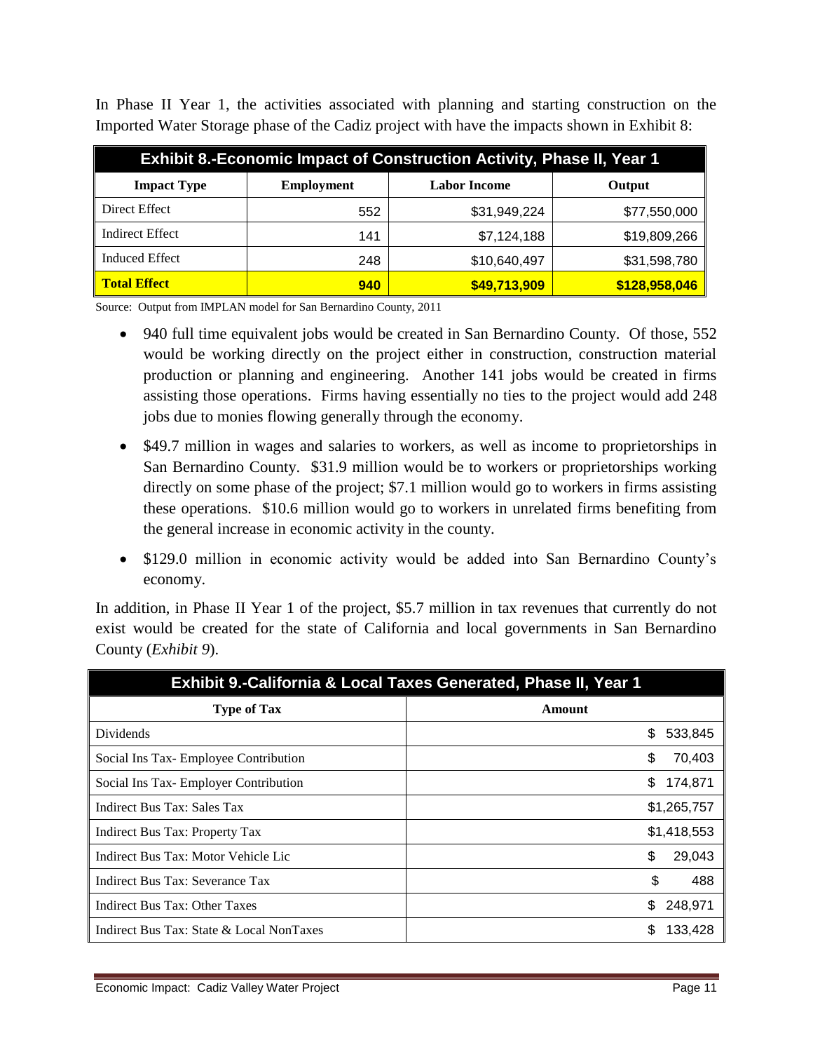| <b>Exhibit 8.-Economic Impact of Construction Activity, Phase II, Year 1</b> |                   |                     |               |  |
|------------------------------------------------------------------------------|-------------------|---------------------|---------------|--|
| <b>Impact Type</b>                                                           | <b>Employment</b> | <b>Labor Income</b> | Output        |  |
| Direct Effect                                                                | 552               | \$31,949,224        | \$77,550,000  |  |
| <b>Indirect Effect</b>                                                       | 141               | \$7,124,188         | \$19,809,266  |  |
| <b>Induced Effect</b>                                                        | 248               | \$10,640,497        | \$31,598,780  |  |
| <b>Total Effect</b>                                                          | 940               | \$49,713,909        | \$128,958,046 |  |

In Phase II Year 1, the activities associated with planning and starting construction on the Imported Water Storage phase of the Cadiz project with have the impacts shown in Exhibit 8:

Source: Output from IMPLAN model for San Bernardino County, 2011

- 940 full time equivalent jobs would be created in San Bernardino County. Of those, 552 would be working directly on the project either in construction, construction material production or planning and engineering. Another 141 jobs would be created in firms assisting those operations. Firms having essentially no ties to the project would add 248 jobs due to monies flowing generally through the economy.
- \$49.7 million in wages and salaries to workers, as well as income to proprietorships in San Bernardino County. \$31.9 million would be to workers or proprietorships working directly on some phase of the project; \$7.1 million would go to workers in firms assisting these operations. \$10.6 million would go to workers in unrelated firms benefiting from the general increase in economic activity in the county.
- \$129.0 million in economic activity would be added into San Bernardino County's economy.

In addition, in Phase II Year 1 of the project, \$5.7 million in tax revenues that currently do not exist would be created for the state of California and local governments in San Bernardino County (*Exhibit 9*).

| <b>Exhibit 9.-California &amp; Local Taxes Generated, Phase II, Year 1</b> |                |  |  |
|----------------------------------------------------------------------------|----------------|--|--|
| <b>Type of Tax</b>                                                         | Amount         |  |  |
| <b>Dividends</b>                                                           | 533,845<br>\$  |  |  |
| Social Ins Tax-Employee Contribution                                       | \$<br>70,403   |  |  |
| Social Ins Tax-Employer Contribution                                       | \$.<br>174,871 |  |  |
| Indirect Bus Tax: Sales Tax                                                | \$1,265,757    |  |  |
| Indirect Bus Tax: Property Tax                                             | \$1,418,553    |  |  |
| Indirect Bus Tax: Motor Vehicle Lic                                        | \$<br>29,043   |  |  |
| Indirect Bus Tax: Severance Tax                                            | \$<br>488      |  |  |
| Indirect Bus Tax: Other Taxes                                              | 248,971<br>S   |  |  |
| Indirect Bus Tax: State & Local NonTaxes                                   | 133,428        |  |  |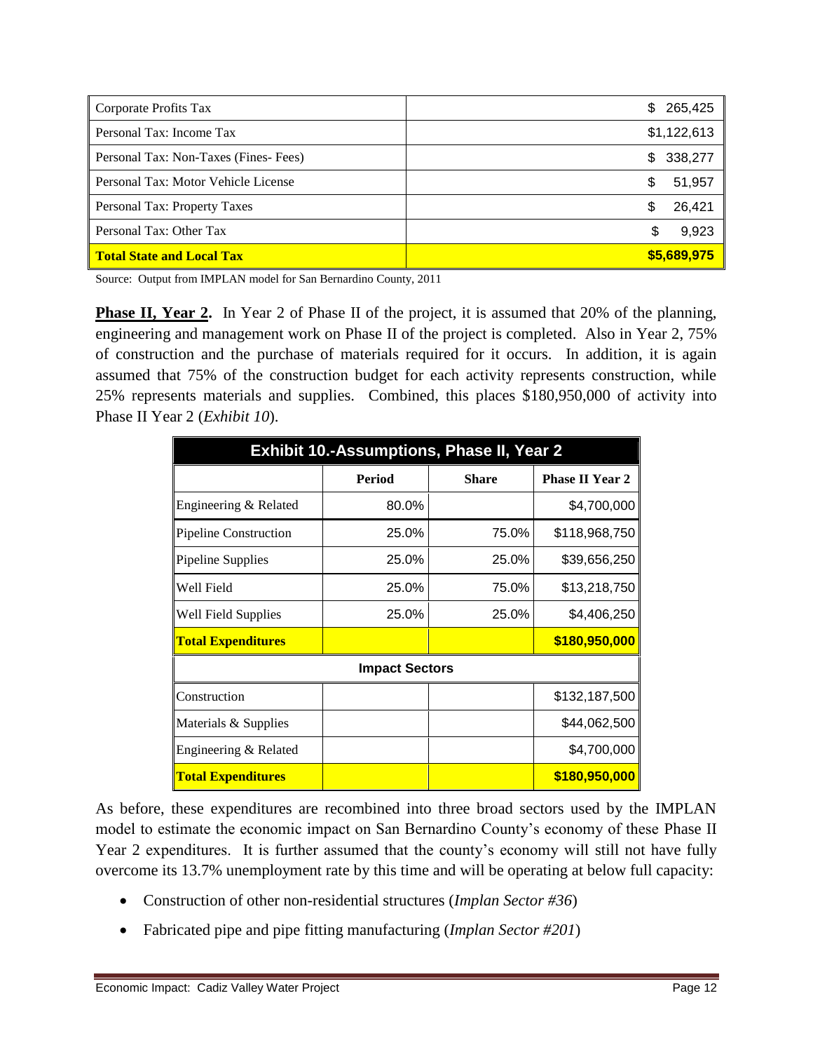| Corporate Profits Tax                | 265,425<br>S. |
|--------------------------------------|---------------|
| Personal Tax: Income Tax             | \$1,122,613   |
| Personal Tax: Non-Taxes (Fines-Fees) | 338,277<br>\$ |
| Personal Tax: Motor Vehicle License  | 51,957<br>\$. |
| Personal Tax: Property Taxes         | 26,421<br>\$  |
| Personal Tax: Other Tax              | 9,923<br>S    |
| <b>Total State and Local Tax</b>     | \$5,689,975   |

Source: Output from IMPLAN model for San Bernardino County, 2011

**Phase II, Year 2.** In Year 2 of Phase II of the project, it is assumed that 20% of the planning, engineering and management work on Phase II of the project is completed. Also in Year 2, 75% of construction and the purchase of materials required for it occurs. In addition, it is again assumed that 75% of the construction budget for each activity represents construction, while 25% represents materials and supplies. Combined, this places \$180,950,000 of activity into Phase II Year 2 (*Exhibit 10*).

| <b>Exhibit 10.-Assumptions, Phase II, Year 2</b> |               |              |                        |  |
|--------------------------------------------------|---------------|--------------|------------------------|--|
|                                                  | <b>Period</b> | <b>Share</b> | <b>Phase II Year 2</b> |  |
| Engineering & Related                            | 80.0%         |              | \$4,700,000            |  |
| <b>Pipeline Construction</b>                     | 25.0%         | 75.0%        | \$118,968,750          |  |
| Pipeline Supplies                                | 25.0%         | 25.0%        | \$39,656,250           |  |
| Well Field                                       | 25.0%         | 75.0%        | \$13,218,750           |  |
| Well Field Supplies                              | 25.0%         | 25.0%        | \$4,406,250            |  |
| <b>Total Expenditures</b>                        |               |              | \$180,950,000          |  |
| <b>Impact Sectors</b>                            |               |              |                        |  |
| Construction                                     |               |              | \$132,187,500          |  |
| Materials & Supplies                             |               |              | \$44,062,500           |  |
| Engineering & Related                            |               |              | \$4,700,000            |  |
| <b>Total Expenditures</b>                        |               |              | \$180,950,000          |  |

As before, these expenditures are recombined into three broad sectors used by the IMPLAN model to estimate the economic impact on San Bernardino County's economy of these Phase II Year 2 expenditures. It is further assumed that the county's economy will still not have fully overcome its 13.7% unemployment rate by this time and will be operating at below full capacity:

- Construction of other non-residential structures (*Implan Sector #36*)
- Fabricated pipe and pipe fitting manufacturing (*Implan Sector #201*)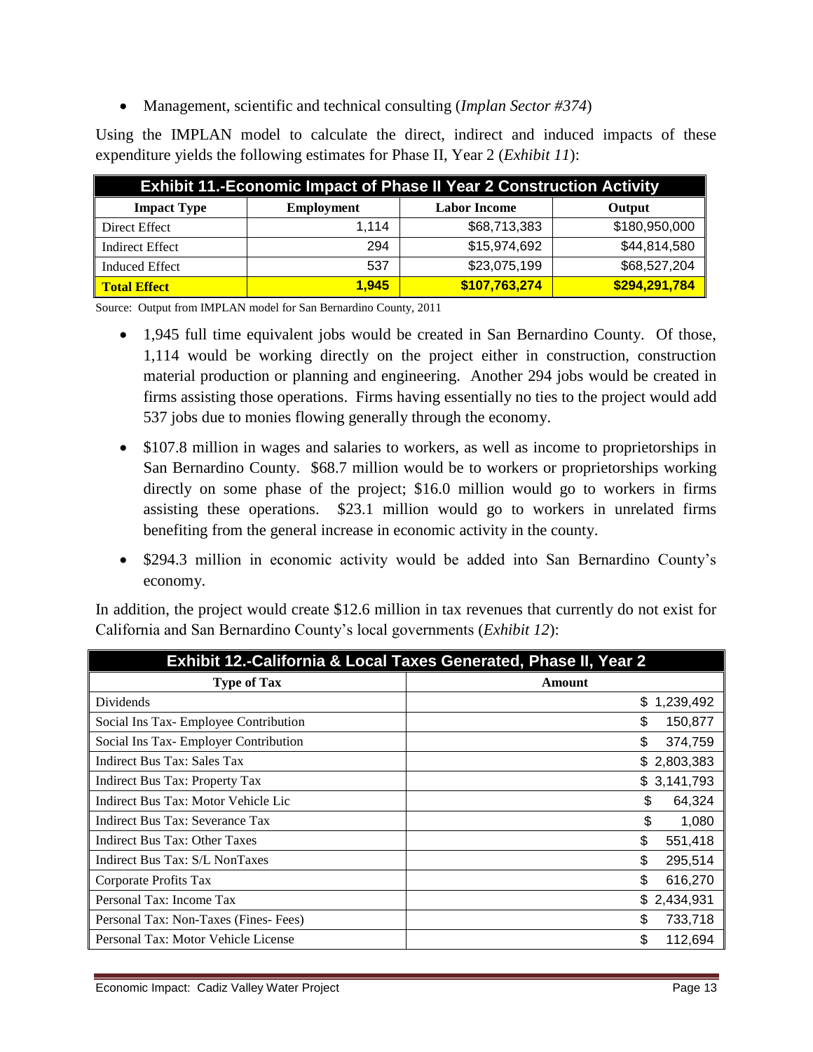Management, scientific and technical consulting (*Implan Sector #374*)

Using the IMPLAN model to calculate the direct, indirect and induced impacts of these expenditure yields the following estimates for Phase II, Year 2 (*Exhibit 11*):

| <b>Exhibit 11.-Economic Impact of Phase II Year 2 Construction Activity</b> |                   |                     |               |
|-----------------------------------------------------------------------------|-------------------|---------------------|---------------|
| <b>Impact Type</b>                                                          | <b>Employment</b> | <b>Labor Income</b> | Output        |
| Direct Effect                                                               | 1.114             | \$68,713,383        | \$180,950,000 |
| <b>Indirect Effect</b>                                                      | 294               | \$15,974,692        | \$44,814,580  |
| <b>Induced Effect</b>                                                       | 537               | \$23,075,199        | \$68,527,204  |
| <b>Total Effect</b>                                                         | 1.945             | \$107,763,274       | \$294,291,784 |

Source: Output from IMPLAN model for San Bernardino County, 2011

- 1,945 full time equivalent jobs would be created in San Bernardino County. Of those, 1,114 would be working directly on the project either in construction, construction material production or planning and engineering. Another 294 jobs would be created in firms assisting those operations. Firms having essentially no ties to the project would add 537 jobs due to monies flowing generally through the economy.
- \$107.8 million in wages and salaries to workers, as well as income to proprietorships in San Bernardino County. \$68.7 million would be to workers or proprietorships working directly on some phase of the project; \$16.0 million would go to workers in firms assisting these operations. \$23.1 million would go to workers in unrelated firms benefiting from the general increase in economic activity in the county.
- \$294.3 million in economic activity would be added into San Bernardino County's economy.

In addition, the project would create \$12.6 million in tax revenues that currently do not exist for California and San Bernardino County's local governments (*Exhibit 12*):

| <b>Exhibit 12.-California &amp; Local Taxes Generated, Phase II, Year 2</b> |               |  |  |
|-----------------------------------------------------------------------------|---------------|--|--|
| <b>Type of Tax</b>                                                          | Amount        |  |  |
| <b>Dividends</b>                                                            | \$1,239,492   |  |  |
| Social Ins Tax- Employee Contribution                                       | \$<br>150,877 |  |  |
| Social Ins Tax-Employer Contribution                                        | \$<br>374,759 |  |  |
| Indirect Bus Tax: Sales Tax                                                 | \$2,803,383   |  |  |
| Indirect Bus Tax: Property Tax                                              | \$3,141,793   |  |  |
| Indirect Bus Tax: Motor Vehicle Lic                                         | \$<br>64,324  |  |  |
| Indirect Bus Tax: Severance Tax                                             | \$<br>1,080   |  |  |
| Indirect Bus Tax: Other Taxes                                               | \$<br>551,418 |  |  |
| Indirect Bus Tax: S/L NonTaxes                                              | \$<br>295,514 |  |  |
| Corporate Profits Tax                                                       | \$<br>616,270 |  |  |
| Personal Tax: Income Tax                                                    | \$2,434,931   |  |  |
| Personal Tax: Non-Taxes (Fines-Fees)                                        | \$<br>733,718 |  |  |
| Personal Tax: Motor Vehicle License                                         | \$<br>112,694 |  |  |